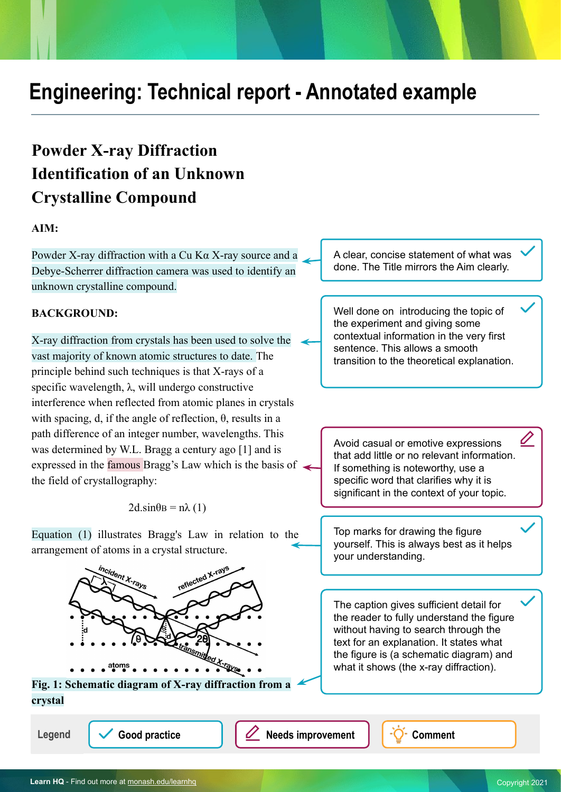# **Engineering: Technical report - Annotated example**

## **Powder X-ray Diffraction Identification of an Unknown Crystalline Compound**

## **AIM:**

Powder X-ray diffraction with a Cu Kα X-ray source and a Debye-Scherrer diffraction camera was used to identify an unknown crystalline compound.

## **BACKGROUND:**

X-ray diffraction from crystals has been used to solve the vast majority of known atomic structures to date. The principle behind such techniques is that X-rays of a specific wavelength,  $\lambda$ , will undergo constructive interference when reflected from atomic planes in crystals with spacing, d, if the angle of reflection,  $\theta$ , results in a path difference of an integer number, wavelengths. This was determined by W.L. Bragg a century ago [1] and is expressed in the famous Bragg's Law which is the basis of the field of crystallography:

 $2d.\sin\theta B = n\lambda(1)$ 

Equation (1) illustrates Bragg's Law in relation to the arrangement of atoms in a crystal structure.



**Fig. 1: Schematic diagram of X-ray diffraction from a crystal**

Legend  $\sqrt{\phantom{a}}$  Good practice  $\sqrt{\phantom{a}}$  **Needs improvement**  $\sqrt{\phantom{a}}$  Comment

A clear, concise statement of what was done. The Title mirrors the Aim clearly.

Well done on introducing the topic of the experiment and giving some contextual information in the very first sentence. This allows a smooth transition to the theoretical explanation.

Avoid casual or emotive expressions that add little or no relevant information. If something is noteworthy, use a specific word that clarifies why it is significant in the context of your topic.

Top marks for drawing the figure yourself. This is always best as it helps your understanding.

The caption gives sufficient detail for the reader to fully understand the figure without having to search through the text for an explanation. It states what the figure is (a schematic diagram) and what it shows (the x-ray diffraction).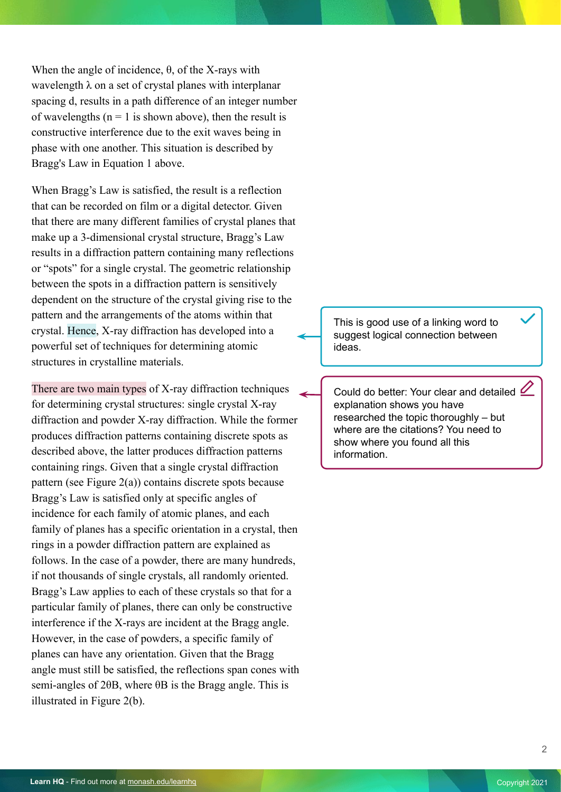When the angle of incidence, θ, of the X-rays with wavelength  $\lambda$  on a set of crystal planes with interplanar spacing d, results in a path difference of an integer number of wavelengths ( $n = 1$  is shown above), then the result is constructive interference due to the exit waves being in phase with one another. This situation is described by Bragg's Law in Equation 1 above.

When Bragg's Law is satisfied, the result is a reflection that can be recorded on film or a digital detector. Given that there are many different families of crystal planes that make up a 3-dimensional crystal structure, Bragg's Law results in a diffraction pattern containing many reflections or "spots" for a single crystal. The geometric relationship between the spots in a diffraction pattern is sensitively dependent on the structure of the crystal giving rise to the pattern and the arrangements of the atoms within that crystal. Hence, X-ray diffraction has developed into a powerful set of techniques for determining atomic structures in crystalline materials.

There are two main types of X-ray diffraction techniques for determining crystal structures: single crystal X-ray diffraction and powder X-ray diffraction. While the former produces diffraction patterns containing discrete spots as described above, the latter produces diffraction patterns containing rings. Given that a single crystal diffraction pattern (see Figure 2(a)) contains discrete spots because Bragg's Law is satisfied only at specific angles of incidence for each family of atomic planes, and each family of planes has a specific orientation in a crystal, then rings in a powder diffraction pattern are explained as follows. In the case of a powder, there are many hundreds, if not thousands of single crystals, all randomly oriented. Bragg's Law applies to each of these crystals so that for a particular family of planes, there can only be constructive interference if the X-rays are incident at the Bragg angle. However, in the case of powders, a specific family of planes can have any orientation. Given that the Bragg angle must still be satisfied, the reflections span cones with semi-angles of 2θB, where θB is the Bragg angle. This is illustrated in Figure 2(b).

This is good use of a linking word to suggest logical connection between ideas.

Could do better: Your clear and detailed explanation shows you have researched the topic thoroughly – but where are the citations? You need to show where you found all this information.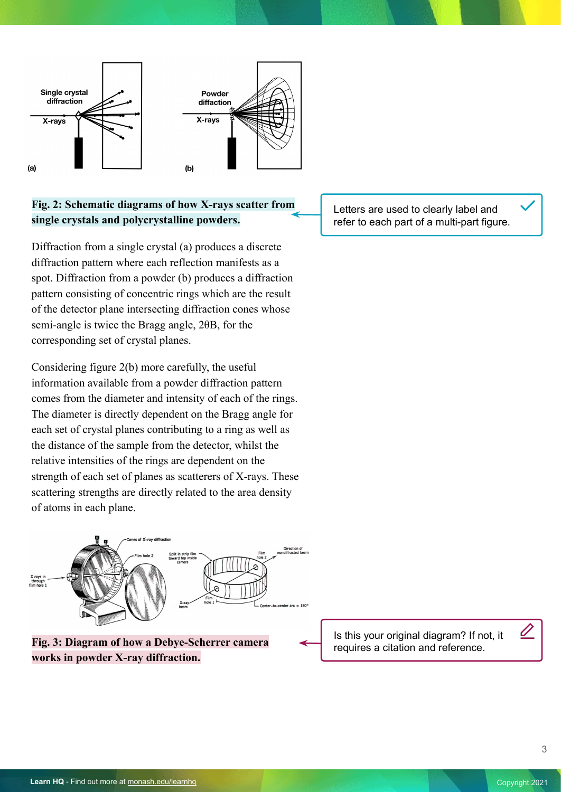

## **Fig. 2: Schematic diagrams of how X-rays scatter from single crystals and polycrystalline powders.**

Diffraction from a single crystal (a) produces a discrete diffraction pattern where each reflection manifests as a spot. Diffraction from a powder (b) produces a diffraction pattern consisting of concentric rings which are the result of the detector plane intersecting diffraction cones whose semi-angle is twice the Bragg angle, 2θB, for the corresponding set of crystal planes.

Considering figure 2(b) more carefully, the useful information available from a powder diffraction pattern comes from the diameter and intensity of each of the rings. The diameter is directly dependent on the Bragg angle for each set of crystal planes contributing to a ring as well as the distance of the sample from the detector, whilst the relative intensities of the rings are dependent on the strength of each set of planes as scatterers of X-rays. These scattering strengths are directly related to the area density of atoms in each plane.



**Fig. 3: Diagram of how a Debye-Scherrer camera works in powder X-ray diffraction.**

Letters are used to clearly label and refer to each part of a multi-part figure.

Is this your original diagram? If not, it requires a citation and reference.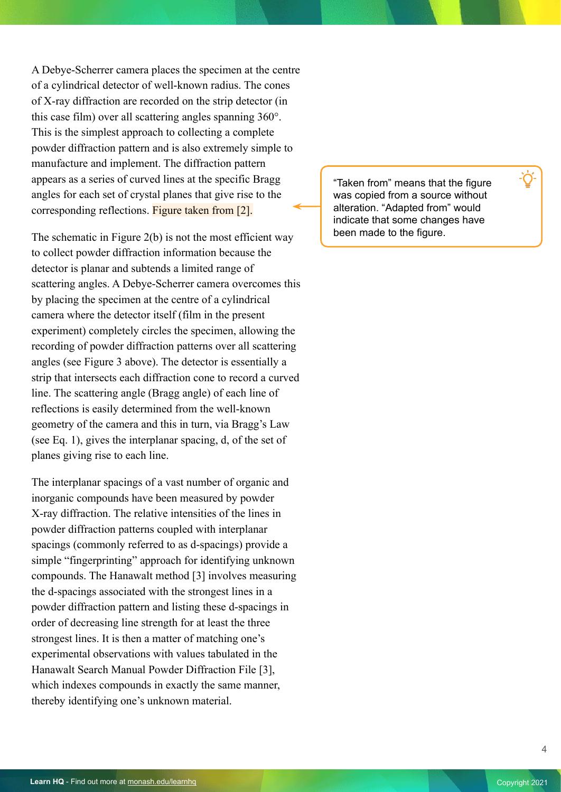A Debye-Scherrer camera places the specimen at the centre of a cylindrical detector of well-known radius. The cones of X-ray diffraction are recorded on the strip detector (in this case film) over all scattering angles spanning 360°. This is the simplest approach to collecting a complete powder diffraction pattern and is also extremely simple to manufacture and implement. The diffraction pattern appears as a series of curved lines at the specific Bragg angles for each set of crystal planes that give rise to the corresponding reflections. Figure taken from [2].

The schematic in Figure  $2(b)$  is not the most efficient way to collect powder diffraction information because the detector is planar and subtends a limited range of scattering angles. A Debye-Scherrer camera overcomes this by placing the specimen at the centre of a cylindrical camera where the detector itself (film in the present experiment) completely circles the specimen, allowing the recording of powder diffraction patterns over all scattering angles (see Figure 3 above). The detector is essentially a strip that intersects each diffraction cone to record a curved line. The scattering angle (Bragg angle) of each line of reflections is easily determined from the well-known geometry of the camera and this in turn, via Bragg's Law (see Eq. 1), gives the interplanar spacing, d, of the set of planes giving rise to each line.

The interplanar spacings of a vast number of organic and inorganic compounds have been measured by powder X-ray diffraction. The relative intensities of the lines in powder diffraction patterns coupled with interplanar spacings (commonly referred to as d-spacings) provide a simple "fingerprinting" approach for identifying unknown compounds. The Hanawalt method [3] involves measuring the d-spacings associated with the strongest lines in a powder diffraction pattern and listing these d-spacings in order of decreasing line strength for at least the three strongest lines. It is then a matter of matching one's experimental observations with values tabulated in the Hanawalt Search Manual Powder Diffraction File [3], which indexes compounds in exactly the same manner, thereby identifying one's unknown material.

"Taken from" means that the figure was copied from a source without alteration. "Adapted from" would indicate that some changes have been made to the figure.

4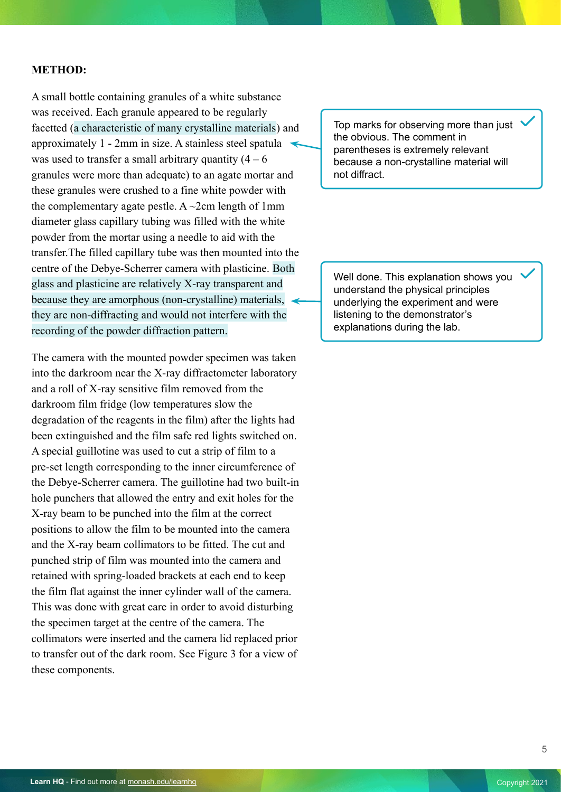#### **METHOD:**

A small bottle containing granules of a white substance was received. Each granule appeared to be regularly facetted (a characteristic of many crystalline materials) and approximately 1 - 2mm in size. A stainless steel spatula was used to transfer a small arbitrary quantity  $(4 - 6)$ granules were more than adequate) to an agate mortar and these granules were crushed to a fine white powder with the complementary agate pestle. A  $\sim$ 2cm length of 1mm diameter glass capillary tubing was filled with the white powder from the mortar using a needle to aid with the transfer.The filled capillary tube was then mounted into the centre of the Debye-Scherrer camera with plasticine. Both glass and plasticine are relatively X-ray transparent and because they are amorphous (non-crystalline) materials, they are non-diffracting and would not interfere with the recording of the powder diffraction pattern.

The camera with the mounted powder specimen was taken into the darkroom near the X-ray diffractometer laboratory and a roll of X-ray sensitive film removed from the darkroom film fridge (low temperatures slow the degradation of the reagents in the film) after the lights had been extinguished and the film safe red lights switched on. A special guillotine was used to cut a strip of film to a pre-set length corresponding to the inner circumference of the Debye-Scherrer camera. The guillotine had two built-in hole punchers that allowed the entry and exit holes for the X-ray beam to be punched into the film at the correct positions to allow the film to be mounted into the camera and the X-ray beam collimators to be fitted. The cut and punched strip of film was mounted into the camera and retained with spring-loaded brackets at each end to keep the film flat against the inner cylinder wall of the camera. This was done with great care in order to avoid disturbing the specimen target at the centre of the camera. The collimators were inserted and the camera lid replaced prior to transfer out of the dark room. See Figure 3 for a view of these components.

Top marks for observing more than just the obvious. The comment in parentheses is extremely relevant because a non-crystalline material will not diffract.

Well done. This explanation shows you understand the physical principles underlying the experiment and were listening to the demonstrator's explanations during the lab.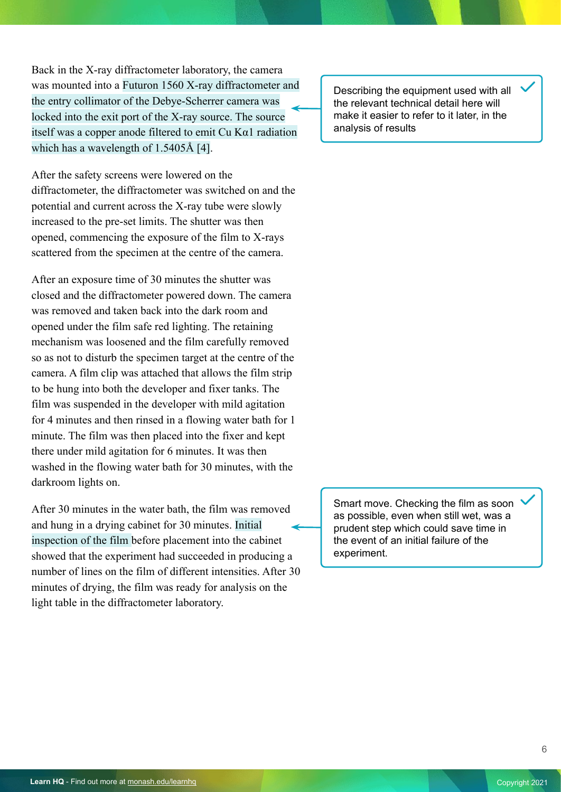Back in the X-ray diffractometer laboratory, the camera was mounted into a Futuron 1560 X-ray diffractometer and the entry collimator of the Debye-Scherrer camera was locked into the exit port of the X-ray source. The source itself was a copper anode filtered to emit  $Cu$  K $\alpha$ 1 radiation which has a wavelength of 1.5405Å [4].

After the safety screens were lowered on the diffractometer, the diffractometer was switched on and the potential and current across the X-ray tube were slowly increased to the pre-set limits. The shutter was then opened, commencing the exposure of the film to X-rays scattered from the specimen at the centre of the camera.

After an exposure time of 30 minutes the shutter was closed and the diffractometer powered down. The camera was removed and taken back into the dark room and opened under the film safe red lighting. The retaining mechanism was loosened and the film carefully removed so as not to disturb the specimen target at the centre of the camera. A film clip was attached that allows the film strip to be hung into both the developer and fixer tanks. The film was suspended in the developer with mild agitation for 4 minutes and then rinsed in a flowing water bath for 1 minute. The film was then placed into the fixer and kept there under mild agitation for 6 minutes. It was then washed in the flowing water bath for 30 minutes, with the darkroom lights on.

After 30 minutes in the water bath, the film was removed and hung in a drying cabinet for 30 minutes. Initial inspection of the film before placement into the cabinet showed that the experiment had succeeded in producing a number of lines on the film of different intensities. After 30 minutes of drying, the film was ready for analysis on the light table in the diffractometer laboratory.

Describing the equipment used with all the relevant technical detail here will make it easier to refer to it later, in the analysis of results

Smart move. Checking the film as soon as possible, even when still wet, was a prudent step which could save time in the event of an initial failure of the experiment.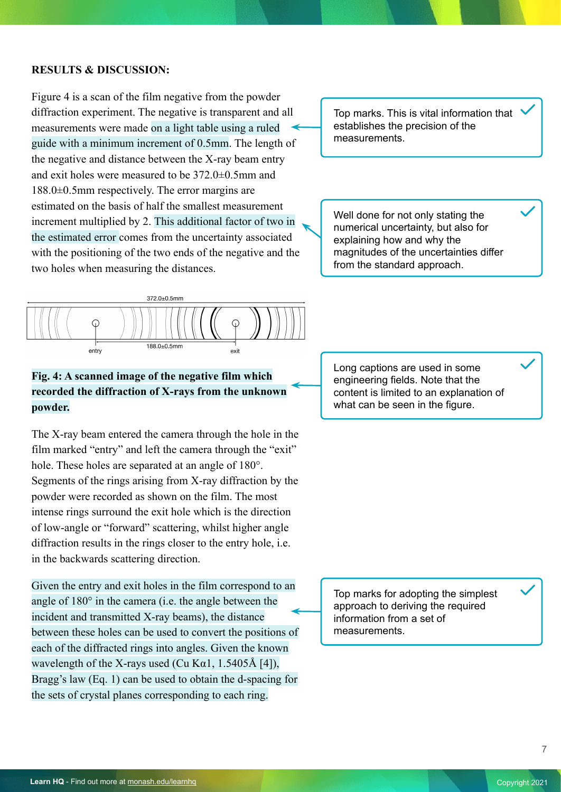## **RESULTS & DISCUSSION:**

Figure 4 is a scan of the film negative from the powder diffraction experiment. The negative is transparent and all measurements were made on a light table using a ruled guide with a minimum increment of 0.5mm. The length of the negative and distance between the X-ray beam entry and exit holes were measured to be 372.0±0.5mm and 188.0±0.5mm respectively. The error margins are estimated on the basis of half the smallest measurement increment multiplied by 2. This additional factor of two in the estimated error comes from the uncertainty associated with the positioning of the two ends of the negative and the two holes when measuring the distances.

Top marks. This is vital information that establishes the precision of the measurements.

Well done for not only stating the numerical uncertainty, but also for explaining how and why the magnitudes of the uncertainties differ from the standard approach.



## **Fig. 4: A scanned image of the negative film which recorded the diffraction of X-rays from the unknown powder.**

The X-ray beam entered the camera through the hole in the film marked "entry" and left the camera through the "exit" hole. These holes are separated at an angle of 180°. Segments of the rings arising from X-ray diffraction by the powder were recorded as shown on the film. The most intense rings surround the exit hole which is the direction of low-angle or "forward" scattering, whilst higher angle diffraction results in the rings closer to the entry hole, i.e. in the backwards scattering direction.

Given the entry and exit holes in the film correspond to an angle of 180° in the camera (i.e. the angle between the incident and transmitted X-ray beams), the distance between these holes can be used to convert the positions of each of the diffracted rings into angles. Given the known wavelength of the X-rays used (Cu K $\alpha$ 1, 1.5405Å [4]), Bragg's law (Eq. 1) can be used to obtain the d-spacing for the sets of crystal planes corresponding to each ring.

Long captions are used in some engineering fields. Note that the content is limited to an explanation of what can be seen in the figure.

Top marks for adopting the simplest approach to deriving the required information from a set of measurements.

7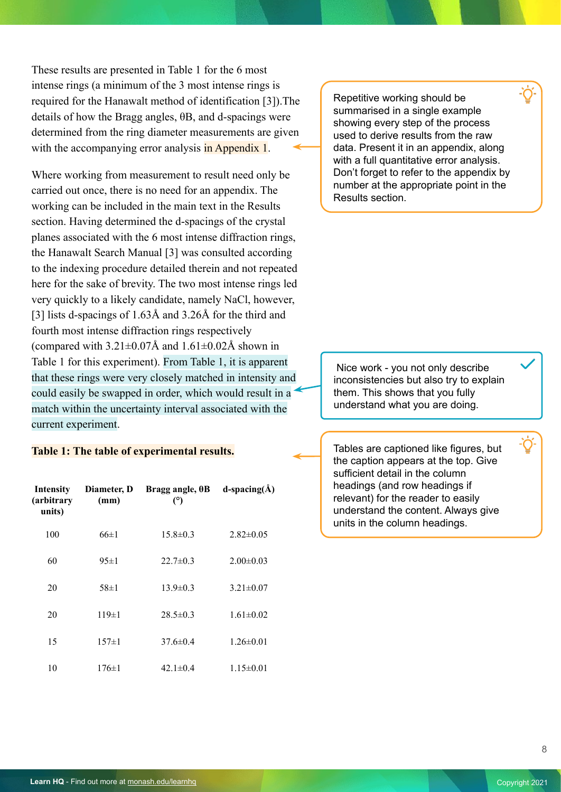These results are presented in Table 1 for the 6 most intense rings (a minimum of the 3 most intense rings is required for the Hanawalt method of identification [3]).The details of how the Bragg angles, θB, and d-spacings were determined from the ring diameter measurements are given with the accompanying error analysis in Appendix 1.

Where working from measurement to result need only be carried out once, there is no need for an appendix. The working can be included in the main text in the Results section. Having determined the d-spacings of the crystal planes associated with the 6 most intense diffraction rings, the Hanawalt Search Manual [3] was consulted according to the indexing procedure detailed therein and not repeated here for the sake of brevity. The two most intense rings led very quickly to a likely candidate, namely NaCl, however, [3] lists d-spacings of 1.63Å and 3.26Å for the third and fourth most intense diffraction rings respectively (compared with  $3.21\pm0.07\text{\AA}$  and  $1.61\pm0.02\text{\AA}$  shown in Table 1 for this experiment). From Table 1, it is apparent that these rings were very closely matched in intensity and could easily be swapped in order, which would result in a match within the uncertainty interval associated with the current experiment.

#### **Table 1: The table of experimental results.**

| <b>Intensity</b><br>(arbitrary<br>units) | Diameter, D<br>(mm) | Bragg angle, $\theta$ B<br>(°) | d-spacing( $\AA$ ) |
|------------------------------------------|---------------------|--------------------------------|--------------------|
| 100                                      | $66 \pm 1$          | $15.8 \pm 0.3$                 | $2.82 \pm 0.05$    |
| 60                                       | $95 \pm 1$          | $22.7 \pm 0.3$                 | $2.00 \pm 0.03$    |
| 20                                       | $58 \pm 1$          | $13.9 \pm 0.3$                 | $3.21 \pm 0.07$    |
| 20                                       | $119 \pm 1$         | $28.5 \pm 0.3$                 | $1.61 \pm 0.02$    |
| 15                                       | $157 \pm 1$         | $37.6 \pm 0.4$                 | $1.26 \pm 0.01$    |
| 10                                       | $176 \pm 1$         | 42.1 $\pm$ 0.4                 | $1.15 \pm 0.01$    |

Repetitive working should be summarised in a single example showing every step of the process used to derive results from the raw data. Present it in an appendix, along with a full quantitative error analysis. Don't forget to refer to the appendix by number at the appropriate point in the Results section.

 Nice work - you not only describe inconsistencies but also try to explain them. This shows that you fully understand what you are doing.

Tables are captioned like figures, but the caption appears at the top. Give sufficient detail in the column headings (and row headings if relevant) for the reader to easily understand the content. Always give units in the column headings.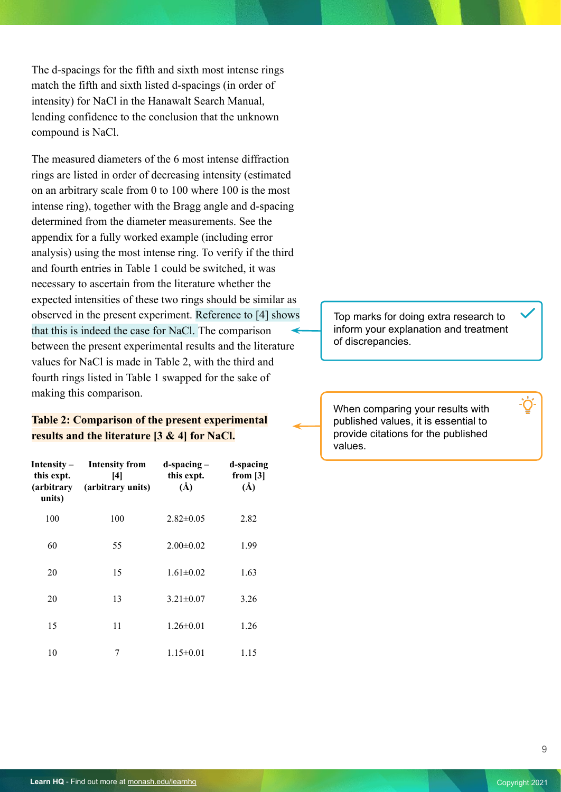The d-spacings for the fifth and sixth most intense rings match the fifth and sixth listed d-spacings (in order of intensity) for NaCl in the Hanawalt Search Manual, lending confidence to the conclusion that the unknown compound is NaCl.

The measured diameters of the 6 most intense diffraction rings are listed in order of decreasing intensity (estimated on an arbitrary scale from 0 to 100 where 100 is the most intense ring), together with the Bragg angle and d-spacing determined from the diameter measurements. See the appendix for a fully worked example (including error analysis) using the most intense ring. To verify if the third and fourth entries in Table 1 could be switched, it was necessary to ascertain from the literature whether the expected intensities of these two rings should be similar as observed in the present experiment. Reference to [4] shows that this is indeed the case for NaCl. The comparison between the present experimental results and the literature values for NaCl is made in Table 2, with the third and fourth rings listed in Table 1 swapped for the sake of making this comparison.

## **Table 2: Comparison of the present experimental results and the literature [3 & 4] for NaCl.**

| Intensity $-$<br>this expt.<br>(arbitrary<br>units) | <b>Intensity from</b><br> 4 <br>(arbitrary units) | $d$ -spacing $-$<br>this expt.<br>$(\AA)$ | d-spacing<br>from $[3]$<br>$(\AA)$ |
|-----------------------------------------------------|---------------------------------------------------|-------------------------------------------|------------------------------------|
| 100                                                 | 100                                               | $2.82 \pm 0.05$                           | 2.82                               |
| 60                                                  | 55                                                | $2.00 \pm 0.02$                           | 1.99                               |
| 20                                                  | 15                                                | $1.61 \pm 0.02$                           | 1.63                               |
| 20                                                  | 13                                                | $3.21 \pm 0.07$                           | 3.26                               |
| 15                                                  | 11                                                | $1.26 \pm 0.01$                           | 1.26                               |
| 10                                                  | 7                                                 | $1.15 \pm 0.01$                           | 1.15                               |

Top marks for doing extra research to inform your explanation and treatment of discrepancies.

When comparing your results with published values, it is essential to provide citations for the published values.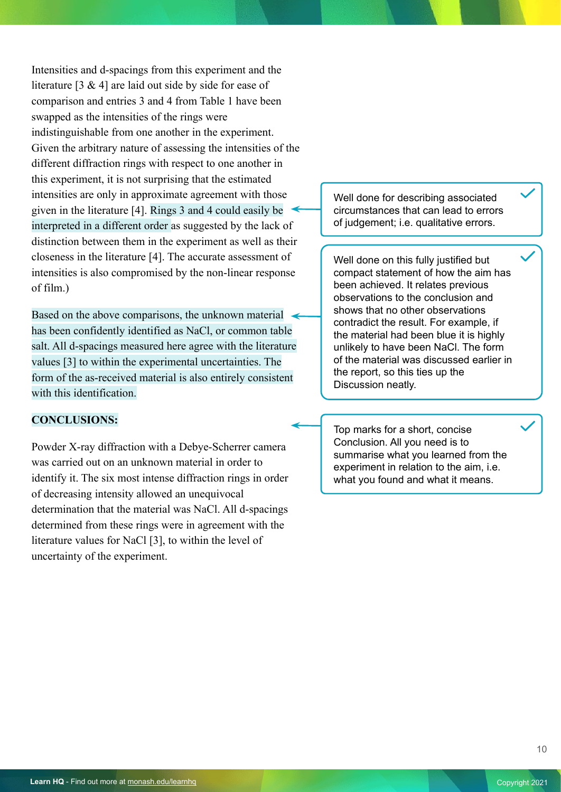Intensities and d-spacings from this experiment and the literature [3 & 4] are laid out side by side for ease of comparison and entries 3 and 4 from Table 1 have been swapped as the intensities of the rings were indistinguishable from one another in the experiment. Given the arbitrary nature of assessing the intensities of the different diffraction rings with respect to one another in this experiment, it is not surprising that the estimated intensities are only in approximate agreement with those given in the literature [4]. Rings 3 and 4 could easily be interpreted in a different order as suggested by the lack of distinction between them in the experiment as well as their closeness in the literature [4]. The accurate assessment of intensities is also compromised by the non-linear response of film.)

Based on the above comparisons, the unknown material has been confidently identified as NaCl, or common table salt. All d-spacings measured here agree with the literature values [3] to within the experimental uncertainties. The form of the as-received material is also entirely consistent with this identification.

#### **CONCLUSIONS:**

Powder X-ray diffraction with a Debye-Scherrer camera was carried out on an unknown material in order to identify it. The six most intense diffraction rings in order of decreasing intensity allowed an unequivocal determination that the material was NaCl. All d-spacings determined from these rings were in agreement with the literature values for NaCl [3], to within the level of uncertainty of the experiment.

Well done for describing associated circumstances that can lead to errors of judgement; i.e. qualitative errors.

Well done on this fully justified but compact statement of how the aim has been achieved. It relates previous observations to the conclusion and shows that no other observations contradict the result. For example, if the material had been blue it is highly unlikely to have been NaCl. The form of the material was discussed earlier in the report, so this ties up the Discussion neatly.

Top marks for a short, concise Conclusion. All you need is to summarise what you learned from the experiment in relation to the aim, i.e. what you found and what it means.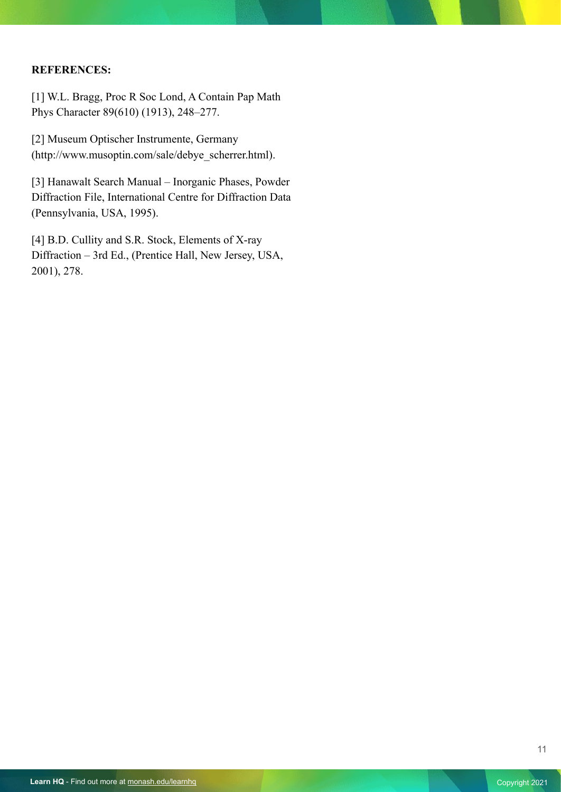## **REFERENCES:**

[1] W.L. Bragg, Proc R Soc Lond, A Contain Pap Math Phys Character 89(610) (1913), 248–277.

[2] Museum Optischer Instrumente, Germany (http://www.musoptin.com/sale/debye\_scherrer.html).

[3] Hanawalt Search Manual – Inorganic Phases, Powder Diffraction File, International Centre for Diffraction Data (Pennsylvania, USA, 1995).

[4] B.D. Cullity and S.R. Stock, Elements of X-ray Diffraction – 3rd Ed., (Prentice Hall, New Jersey, USA, 2001), 278.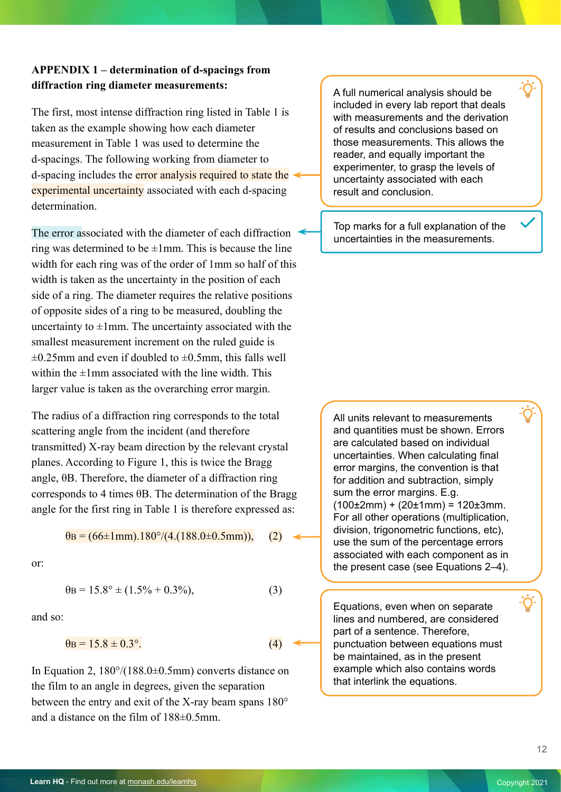## **APPENDIX 1 – determination of d-spacings from diffraction ring diameter measurements:**

The first, most intense diffraction ring listed in Table 1 is taken as the example showing how each diameter measurement in Table 1 was used to determine the d-spacings. The following working from diameter to d-spacing includes the error analysis required to state the experimental uncertainty associated with each d-spacing determination.

The error associated with the diameter of each diffraction ring was determined to be  $\pm 1$ mm. This is because the line width for each ring was of the order of 1mm so half of this width is taken as the uncertainty in the position of each side of a ring. The diameter requires the relative positions of opposite sides of a ring to be measured, doubling the uncertainty to  $\pm 1$ mm. The uncertainty associated with the smallest measurement increment on the ruled guide is  $\pm 0.25$ mm and even if doubled to  $\pm 0.5$ mm, this falls well within the  $\pm 1$ mm associated with the line width. This larger value is taken as the overarching error margin.

The radius of a diffraction ring corresponds to the total scattering angle from the incident (and therefore transmitted) X-ray beam direction by the relevant crystal planes. According to Figure 1, this is twice the Bragg angle, θB. Therefore, the diameter of a diffraction ring corresponds to 4 times θB. The determination of the Bragg angle for the first ring in Table 1 is therefore expressed as:

$$
\theta_B = (66 \pm 1 \text{mm}).180^{\circ}/(4.(188.0 \pm 0.5 \text{mm})), \quad (2)
$$

or:

$$
\theta_B = 15.8^\circ \pm (1.5\% + 0.3\%),\tag{3}
$$

and so:

$$
\theta_{\rm B} = 15.8 \pm 0.3^{\circ}.
$$
 (4)

In Equation 2,  $180^{\circ}/(188.0\pm 0.5$ mm) converts distance on the film to an angle in degrees, given the separation between the entry and exit of the X-ray beam spans 180° and a distance on the film of 188±0.5mm.

A full numerical analysis should be included in every lab report that deals with measurements and the derivation of results and conclusions based on those measurements. This allows the reader, and equally important the experimenter, to grasp the levels of uncertainty associated with each result and conclusion.

Top marks for a full explanation of the uncertainties in the measurements.

All units relevant to measurements and quantities must be shown. Errors are calculated based on individual uncertainties. When calculating final error margins, the convention is that for addition and subtraction, simply sum the error margins. E.g.  $(100\pm2$ mm) +  $(20\pm1$ mm) =  $120\pm3$ mm. For all other operations (multiplication, division, trigonometric functions, etc), use the sum of the percentage errors associated with each component as in the present case (see Equations 2–4).

Equations, even when on separate lines and numbered, are considered part of a sentence. Therefore, punctuation between equations must be maintained, as in the present example which also contains words that interlink the equations.